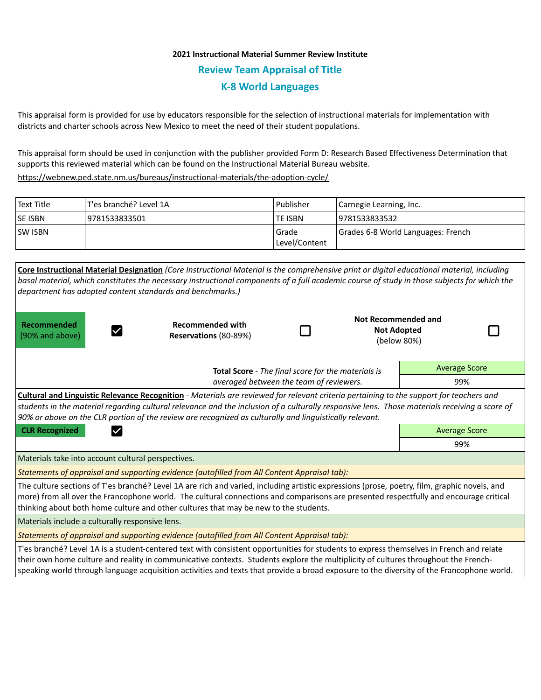## **2021 Instructional Material Summer Review Institute Review Team Appraisal of Title K-8 World Languages**

This appraisal form is provided for use by educators responsible for the selection of instructional materials for implementation with districts and charter schools across New Mexico to meet the need of their student populations.

This appraisal form should be used in conjunction with the publisher provided Form D: Research Based Effectiveness Determination that supports this reviewed material which can be found on the Instructional Material Bureau website.

<https://webnew.ped.state.nm.us/bureaus/instructional-materials/the-adoption-cycle/>

| Text Title     | T'es branché? Level 1A | l Publisher                | Carnegie Learning, Inc.            |  |
|----------------|------------------------|----------------------------|------------------------------------|--|
| <b>SE ISBN</b> | 9781533833501          | <b>TE ISBN</b>             | 19781533833532                     |  |
| <b>SW ISBN</b> |                        | l Grade<br>  Level/Content | Grades 6-8 World Languages: French |  |

| Core Instructional Material Designation (Core Instructional Material is the comprehensive print or digital educational material, including<br>basal material, which constitutes the necessary instructional components of a full academic course of study in those subjects for which the<br>department has adopted content standards and benchmarks.)                                                                                               |                                                  |  |                                                                 |                      |  |  |  |  |
|------------------------------------------------------------------------------------------------------------------------------------------------------------------------------------------------------------------------------------------------------------------------------------------------------------------------------------------------------------------------------------------------------------------------------------------------------|--------------------------------------------------|--|-----------------------------------------------------------------|----------------------|--|--|--|--|
| Recommended<br>(90% and above)                                                                                                                                                                                                                                                                                                                                                                                                                       | <b>Recommended with</b><br>Reservations (80-89%) |  | <b>Not Recommended and</b><br><b>Not Adopted</b><br>(below 80%) |                      |  |  |  |  |
| Total Score - The final score for the materials is                                                                                                                                                                                                                                                                                                                                                                                                   |                                                  |  |                                                                 | <b>Average Score</b> |  |  |  |  |
| averaged between the team of reviewers.                                                                                                                                                                                                                                                                                                                                                                                                              |                                                  |  |                                                                 | 99%                  |  |  |  |  |
| Cultural and Linguistic Relevance Recognition - Materials are reviewed for relevant criteria pertaining to the support for teachers and<br>students in the material regarding cultural relevance and the inclusion of a culturally responsive lens. Those materials receiving a score of<br>90% or above on the CLR portion of the review are recognized as culturally and linguistically relevant.<br><b>CLR Recognized</b><br><b>Average Score</b> |                                                  |  |                                                                 |                      |  |  |  |  |
|                                                                                                                                                                                                                                                                                                                                                                                                                                                      |                                                  |  |                                                                 | 99%                  |  |  |  |  |
| Materials take into account cultural perspectives.                                                                                                                                                                                                                                                                                                                                                                                                   |                                                  |  |                                                                 |                      |  |  |  |  |
| Statements of appraisal and supporting evidence (autofilled from All Content Appraisal tab):                                                                                                                                                                                                                                                                                                                                                         |                                                  |  |                                                                 |                      |  |  |  |  |
| The culture sections of T'es branché? Level 1A are rich and varied, including artistic expressions (prose, poetry, film, graphic novels, and<br>more) from all over the Francophone world. The cultural connections and comparisons are presented respectfully and encourage critical<br>thinking about both home culture and other cultures that may be new to the students.                                                                        |                                                  |  |                                                                 |                      |  |  |  |  |
| Materials include a culturally responsive lens.                                                                                                                                                                                                                                                                                                                                                                                                      |                                                  |  |                                                                 |                      |  |  |  |  |
| Statements of appraisal and supporting evidence (autofilled from All Content Appraisal tab):                                                                                                                                                                                                                                                                                                                                                         |                                                  |  |                                                                 |                      |  |  |  |  |
| T'es branché? Level 1A is a student-centered text with consistent opportunities for students to express themselves in French and relate<br>their own home culture and reality in communicative contexts. Students explore the multiplicity of cultures throughout the French-<br>speaking world through language acquisition activities and texts that provide a broad exposure to the diversity of the Francophone world.                           |                                                  |  |                                                                 |                      |  |  |  |  |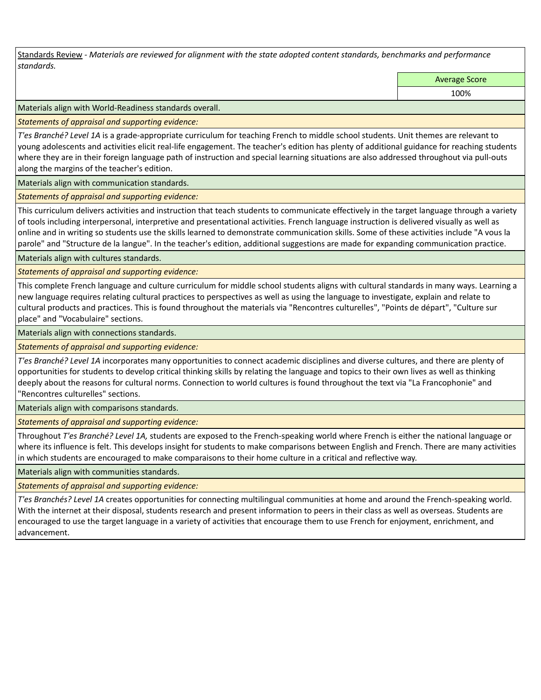Standards Review *- Materials are reviewed for alignment with the state adopted content standards, benchmarks and performance standards.*

Average Score

100%

Materials align with World-Readiness standards overall.

*Statements of appraisal and supporting evidence:* 

*T'es Branché? Level 1A* is a grade-appropriate curriculum for teaching French to middle school students. Unit themes are relevant to young adolescents and activities elicit real-life engagement. The teacher's edition has plenty of additional guidance for reaching students where they are in their foreign language path of instruction and special learning situations are also addressed throughout via pull-outs along the margins of the teacher's edition.

Materials align with communication standards.

*Statements of appraisal and supporting evidence:* 

This curriculum delivers activities and instruction that teach students to communicate effectively in the target language through a variety of tools including interpersonal, interpretive and presentational activities. French language instruction is delivered visually as well as online and in writing so students use the skills learned to demonstrate communication skills. Some of these activities include "A vous la parole" and "Structure de la langue". In the teacher's edition, additional suggestions are made for expanding communication practice.

Materials align with cultures standards.

*Statements of appraisal and supporting evidence:* 

This complete French language and culture curriculum for middle school students aligns with cultural standards in many ways. Learning a new language requires relating cultural practices to perspectives as well as using the language to investigate, explain and relate to cultural products and practices. This is found throughout the materials via "Rencontres culturelles", "Points de départ", "Culture sur place" and "Vocabulaire" sections.

Materials align with connections standards.

*Statements of appraisal and supporting evidence:* 

*T'es Branché? Level 1A* incorporates many opportunities to connect academic disciplines and diverse cultures, and there are plenty of opportunities for students to develop critical thinking skills by relating the language and topics to their own lives as well as thinking deeply about the reasons for cultural norms. Connection to world cultures is found throughout the text via "La Francophonie" and "Rencontres culturelles" sections.

Materials align with comparisons standards.

*Statements of appraisal and supporting evidence:* 

Throughout *T'es Branché? Level 1A,* students are exposed to the French-speaking world where French is either the national language or where its influence is felt. This develops insight for students to make comparisons between English and French. There are many activities in which students are encouraged to make comparaisons to their home culture in a critical and reflective way.

Materials align with communities standards.

*Statements of appraisal and supporting evidence:* 

*T'es Branchés? Level 1A* creates opportunities for connecting multilingual communities at home and around the French-speaking world. With the internet at their disposal, students research and present information to peers in their class as well as overseas. Students are encouraged to use the target language in a variety of activities that encourage them to use French for enjoyment, enrichment, and advancement.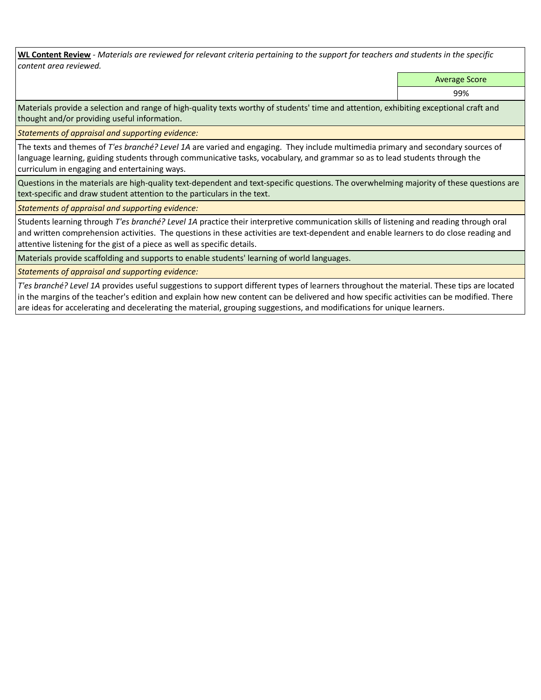**WL Content Review** *- Materials are reviewed for relevant criteria pertaining to the support for teachers and students in the specific content area reviewed.*

Average Score

99%

Materials provide a selection and range of high-quality texts worthy of students' time and attention, exhibiting exceptional craft and thought and/or providing useful information.

*Statements of appraisal and supporting evidence:* 

The texts and themes of *T'es branché? Level 1A* are varied and engaging. They include multimedia primary and secondary sources of language learning, guiding students through communicative tasks, vocabulary, and grammar so as to lead students through the curriculum in engaging and entertaining ways.

Questions in the materials are high-quality text-dependent and text-specific questions. The overwhelming majority of these questions are text-specific and draw student attention to the particulars in the text.

*Statements of appraisal and supporting evidence:* 

Students learning through *T'es branché? Level 1A* practice their interpretive communication skills of listening and reading through oral and written comprehension activities. The questions in these activities are text-dependent and enable learners to do close reading and attentive listening for the gist of a piece as well as specific details.

Materials provide scaffolding and supports to enable students' learning of world languages.

*Statements of appraisal and supporting evidence:* 

*T'es branché? Level 1A* provides useful suggestions to support different types of learners throughout the material. These tips are located in the margins of the teacher's edition and explain how new content can be delivered and how specific activities can be modified. There are ideas for accelerating and decelerating the material, grouping suggestions, and modifications for unique learners.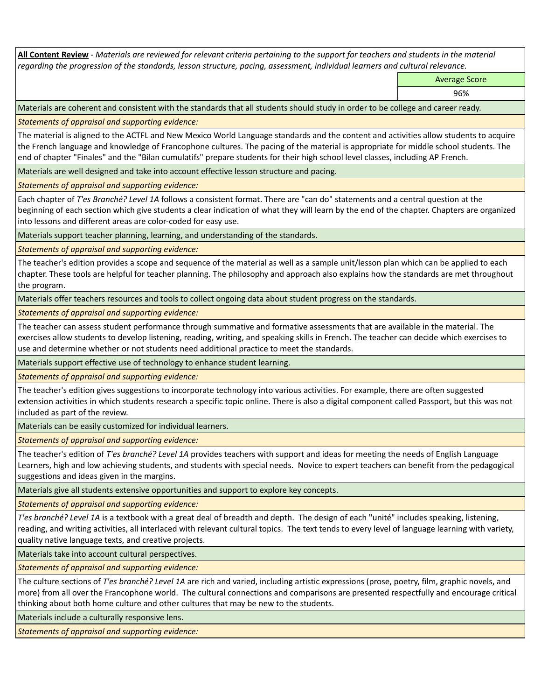**All Content Review** *- Materials are reviewed for relevant criteria pertaining to the support for teachers and students in the material regarding the progression of the standards, lesson structure, pacing, assessment, individual learners and cultural relevance.*

Average Score

96%

Materials are coherent and consistent with the standards that all students should study in order to be college and career ready.

*Statements of appraisal and supporting evidence:*

The material is aligned to the ACTFL and New Mexico World Language standards and the content and activities allow students to acquire the French language and knowledge of Francophone cultures. The pacing of the material is appropriate for middle school students. The end of chapter "Finales" and the "Bilan cumulatifs" prepare students for their high school level classes, including AP French.

Materials are well designed and take into account effective lesson structure and pacing.

*Statements of appraisal and supporting evidence:*

Each chapter of *T'es Branché? Level 1A* follows a consistent format. There are "can do" statements and a central question at the beginning of each section which give students a clear indication of what they will learn by the end of the chapter. Chapters are organized into lessons and different areas are color-coded for easy use.

Materials support teacher planning, learning, and understanding of the standards.

*Statements of appraisal and supporting evidence:*

The teacher's edition provides a scope and sequence of the material as well as a sample unit/lesson plan which can be applied to each chapter. These tools are helpful for teacher planning. The philosophy and approach also explains how the standards are met throughout the program.

Materials offer teachers resources and tools to collect ongoing data about student progress on the standards.

*Statements of appraisal and supporting evidence:*

The teacher can assess student performance through summative and formative assessments that are available in the material. The exercises allow students to develop listening, reading, writing, and speaking skills in French. The teacher can decide which exercises to use and determine whether or not students need additional practice to meet the standards.

Materials support effective use of technology to enhance student learning.

*Statements of appraisal and supporting evidence:*

The teacher's edition gives suggestions to incorporate technology into various activities. For example, there are often suggested extension activities in which students research a specific topic online. There is also a digital component called Passport, but this was not included as part of the review.

Materials can be easily customized for individual learners.

*Statements of appraisal and supporting evidence:* 

The teacher's edition of *T'es branché? Level 1A* provides teachers with support and ideas for meeting the needs of English Language Learners, high and low achieving students, and students with special needs. Novice to expert teachers can benefit from the pedagogical suggestions and ideas given in the margins.

Materials give all students extensive opportunities and support to explore key concepts.

*Statements of appraisal and supporting evidence:*

*T'es branché? Level 1A* is a textbook with a great deal of breadth and depth. The design of each "unité" includes speaking, listening, reading, and writing activities, all interlaced with relevant cultural topics. The text tends to every level of language learning with variety, quality native language texts, and creative projects.

Materials take into account cultural perspectives.

*Statements of appraisal and supporting evidence:*

The culture sections of *T'es branché? Level 1A* are rich and varied, including artistic expressions (prose, poetry, film, graphic novels, and more) from all over the Francophone world. The cultural connections and comparisons are presented respectfully and encourage critical thinking about both home culture and other cultures that may be new to the students.

Materials include a culturally responsive lens.

*Statements of appraisal and supporting evidence:*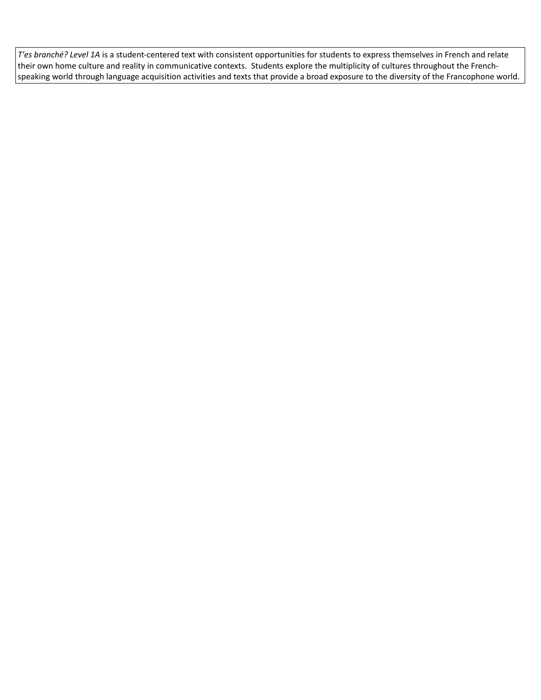*T'es branché? Level 1A* is a student-centered text with consistent opportunities for students to express themselves in French and relate their own home culture and reality in communicative contexts. Students explore the multiplicity of cultures throughout the Frenchspeaking world through language acquisition activities and texts that provide a broad exposure to the diversity of the Francophone world.